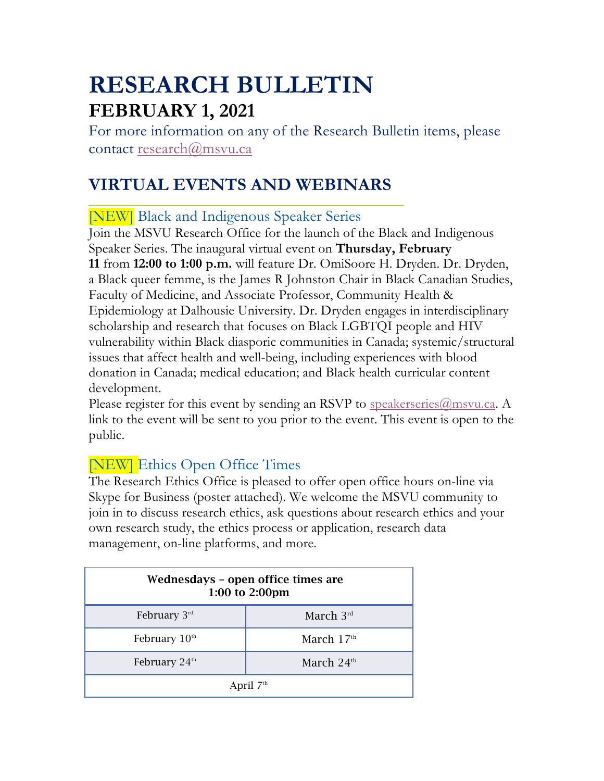# **RESEARCH BULLETIN FEBRUARY 1, 2021**

For more information on any of the Research Bulletin items, please contact research@msvu.ca

# **VIRTUAL EVENTS AND WEBINARS**

[NEW] Black and Indigenous Speaker Series

Join the MSVU Research Office for the launch of the Black and Indigenous Speaker Series. The inaugural virtual event on **Thursday, February 11** from **12:00 to 1:00 p.m.** will feature Dr. OmiSoore H. Dryden. Dr. Dryden, a Black queer femme, is the James R Johnston Chair in Black Canadian Studies, Faculty of Medicine, and Associate Professor, Community Health & Epidemiology at Dalhousie University. Dr. Dryden engages in interdisciplinary scholarship and research that focuses on Black LGBTQI people and HIV vulnerability within Black diasporic communities in Canada; systemic/structural issues that affect health and well-being, including experiences with blood donation in Canada; medical education; and Black health curricular content development.

Please register for this event by sending an RSVP to speakerseries  $@$ msvu.ca. A link to the event will be sent to you prior to the event. This event is open to the public.

# [NEW] Ethics Open Office Times

The Research Ethics Office is pleased to offer open office hours on-line via Skype for Business (poster attached). We welcome the MSVU community to join in to discuss research ethics, ask questions about research ethics and your own research study, the ethics process or application, research data management, on-line platforms, and more.

| Wednesdays – open office times are<br>1:00 to 2:00pm |              |  |
|------------------------------------------------------|--------------|--|
| February $3^{rd}$                                    | March $3rd$  |  |
| February $10th$                                      | March $17th$ |  |
| February 24 <sup>th</sup>                            | March $24th$ |  |
| April $7th$                                          |              |  |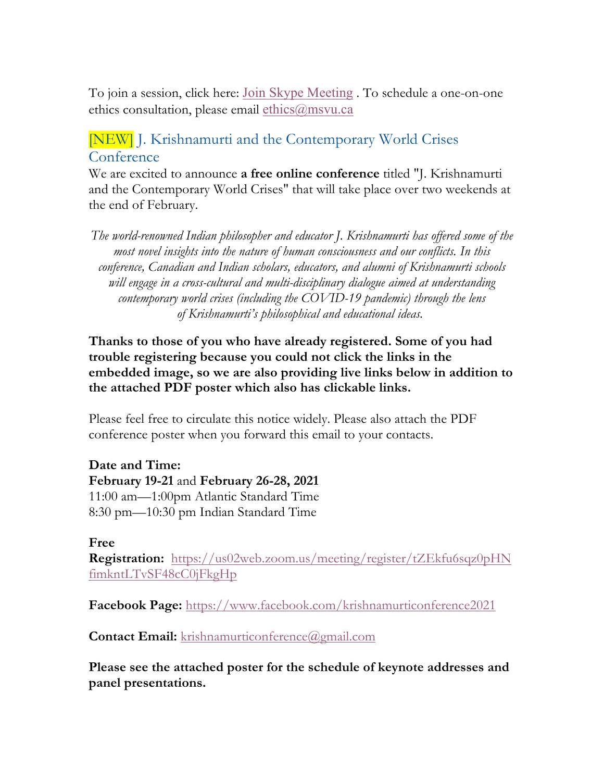To join a session, click here: Join Skype Meeting . To schedule a one-on-one ethics consultation, please email ethics@msvu.ca

### [NEW] J. Krishnamurti and the Contemporary World Crises **Conference**

We are excited to announce **a free online conference** titled "J. Krishnamurti and the Contemporary World Crises" that will take place over two weekends at the end of February.

*The world-renowned Indian philosopher and educator J. Krishnamurti has offered some of the most novel insights into the nature of human consciousness and our conflicts. In this conference, Canadian and Indian scholars, educators, and alumni of Krishnamurti schools will engage in a cross-cultural and multi-disciplinary dialogue aimed at understanding contemporary world crises (including the COVID-19 pandemic) through the lens of Krishnamurti's philosophical and educational ideas.*

#### **Thanks to those of you who have already registered. Some of you had trouble registering because you could not click the links in the embedded image, so we are also providing live links below in addition to the attached PDF poster which also has clickable links.**

Please feel free to circulate this notice widely. Please also attach the PDF conference poster when you forward this email to your contacts.

**Date and Time: February 19-21** and **February 26-28, 2021** 11:00 am—1:00pm Atlantic Standard Time 8:30 pm—10:30 pm Indian Standard Time

#### **Free**

**Registration:** https://us02web.zoom.us/meeting/register/tZEkfu6sqz0pHN fimkntLTvSF48cC0jFkgHp

**Facebook Page:** https://www.facebook.com/krishnamurticonference2021

**Contact Email:** krishnamurticonference@gmail.com

**Please see the attached poster for the schedule of keynote addresses and panel presentations.**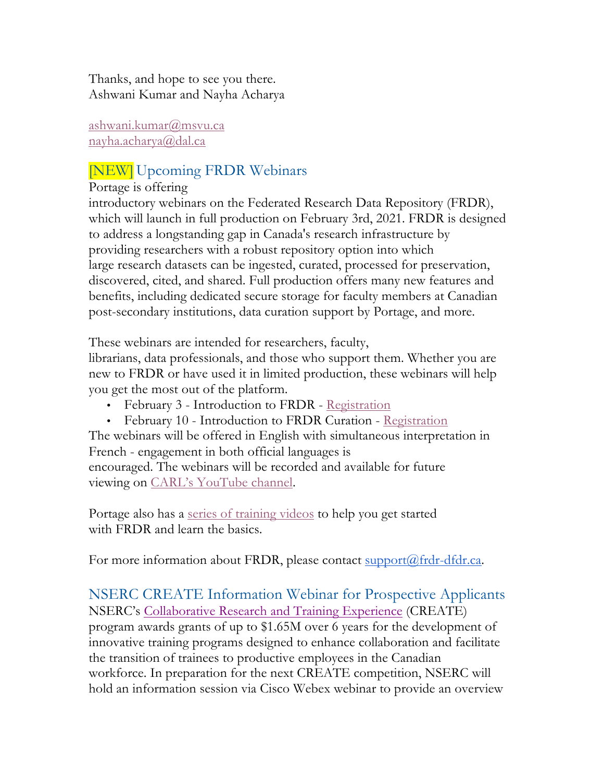Thanks, and hope to see you there. Ashwani Kumar and Nayha Acharya

ashwani.kumar@msvu.ca nayha.acharya@dal.ca

# [NEW] Upcoming FRDR Webinars

#### Portage is offering

introductory webinars on the Federated Research Data Repository (FRDR), which will launch in full production on February 3rd, 2021. FRDR is designed to address a longstanding gap in Canada's research infrastructure by providing researchers with a robust repository option into which large research datasets can be ingested, curated, processed for preservation, discovered, cited, and shared. Full production offers many new features and benefits, including dedicated secure storage for faculty members at Canadian post-secondary institutions, data curation support by Portage, and more.

These webinars are intended for researchers, faculty,

librarians, data professionals, and those who support them. Whether you are new to FRDR or have used it in limited production, these webinars will help you get the most out of the platform.

- February 3 Introduction to FRDR Registration
- February 10 Introduction to FRDR Curation Registration

The webinars will be offered in English with simultaneous interpretation in French - engagement in both official languages is

encouraged. The webinars will be recorded and available for future viewing on CARL's YouTube channel.

Portage also has a series of training videos to help you get started with FRDR and learn the basics.

For more information about FRDR, please contact support@frdr-dfdr.ca.

NSERC CREATE Information Webinar for Prospective Applicants NSERC's Collaborative Research and Training Experience (CREATE) program awards grants of up to \$1.65M over 6 years for the development of innovative training programs designed to enhance collaboration and facilitate the transition of trainees to productive employees in the Canadian workforce. In preparation for the next CREATE competition, NSERC will hold an information session via Cisco Webex webinar to provide an overview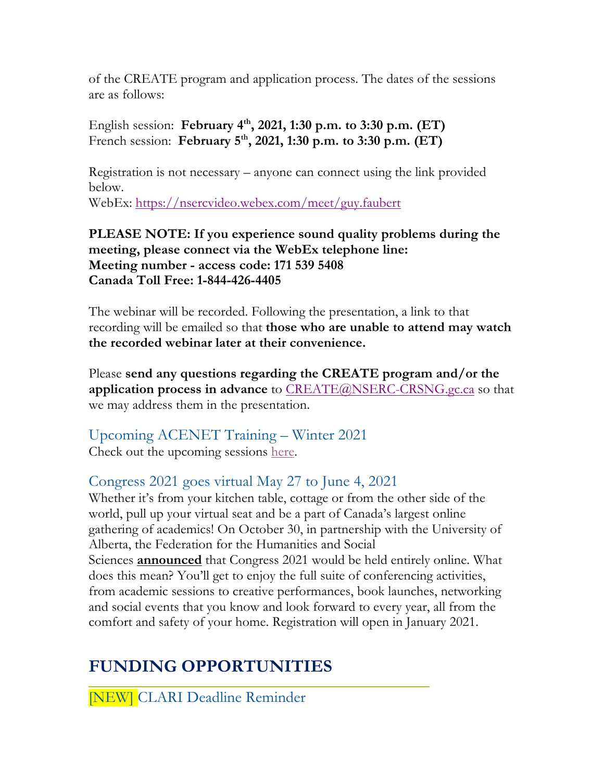of the CREATE program and application process. The dates of the sessions are as follows:

English session: **February 4th, 2021, 1:30 p.m. to 3:30 p.m. (ET)** French session: **February 5th, 2021, 1:30 p.m. to 3:30 p.m. (ET)**

Registration is not necessary – anyone can connect using the link provided below.

WebEx: https://nsercvideo.webex.com/meet/guy.faubert

**PLEASE NOTE: If you experience sound quality problems during the meeting, please connect via the WebEx telephone line: Meeting number - access code: 171 539 5408 Canada Toll Free: 1-844-426-4405**

The webinar will be recorded. Following the presentation, a link to that recording will be emailed so that **those who are unable to attend may watch the recorded webinar later at their convenience.**

Please **send any questions regarding the CREATE program and/or the application process in advance** to CREATE@NSERC-CRSNG.gc.ca so that we may address them in the presentation.

Upcoming ACENET Training – Winter 2021 Check out the upcoming sessions here.

### Congress 2021 goes virtual May 27 to June 4, 2021

Whether it's from your kitchen table, cottage or from the other side of the world, pull up your virtual seat and be a part of Canada's largest online gathering of academics! On October 30, in partnership with the University of Alberta, the Federation for the Humanities and Social Sciences **announced** that Congress 2021 would be held entirely online. What does this mean? You'll get to enjoy the full suite of conferencing activities, from academic sessions to creative performances, book launches, networking and social events that you know and look forward to every year, all from the comfort and safety of your home. Registration will open in January 2021.

# **FUNDING OPPORTUNITIES**

[NEW] CLARI Deadline Reminder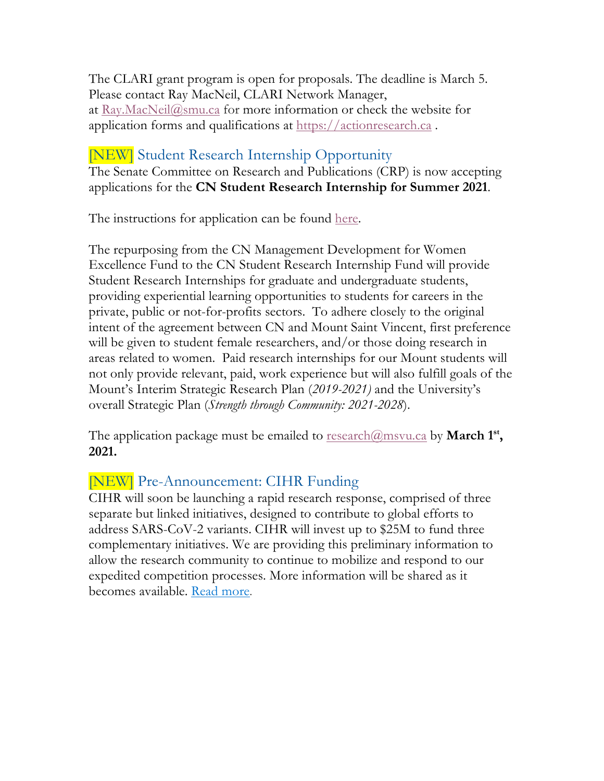The CLARI grant program is open for proposals. The deadline is March 5. Please contact Ray MacNeil, CLARI Network Manager, at Ray.MacNeil@smu.ca for more information or check the website for application forms and qualifications at https://actionresearch.ca .

#### [NEW] Student Research Internship Opportunity

The Senate Committee on Research and Publications (CRP) is now accepting applications for the **CN Student Research Internship for Summer 2021**.

The instructions for application can be found here.

The repurposing from the CN Management Development for Women Excellence Fund to the CN Student Research Internship Fund will provide Student Research Internships for graduate and undergraduate students, providing experiential learning opportunities to students for careers in the private, public or not-for-profits sectors. To adhere closely to the original intent of the agreement between CN and Mount Saint Vincent, first preference will be given to student female researchers, and/or those doing research in areas related to women. Paid research internships for our Mount students will not only provide relevant, paid, work experience but will also fulfill goals of the Mount's Interim Strategic Research Plan (*2019-2021)* and the University's overall Strategic Plan (*Strength through Community: 2021-2028*).

The application package must be emailed to research@msvu.ca by **March 1st, 2021.**

### [NEW] Pre-Announcement: CIHR Funding

CIHR will soon be launching a rapid research response, comprised of three separate but linked initiatives, designed to contribute to global efforts to address SARS-CoV-2 variants. CIHR will invest up to \$25M to fund three complementary initiatives. We are providing this preliminary information to allow the research community to continue to mobilize and respond to our expedited competition processes. More information will be shared as it becomes available. Read more.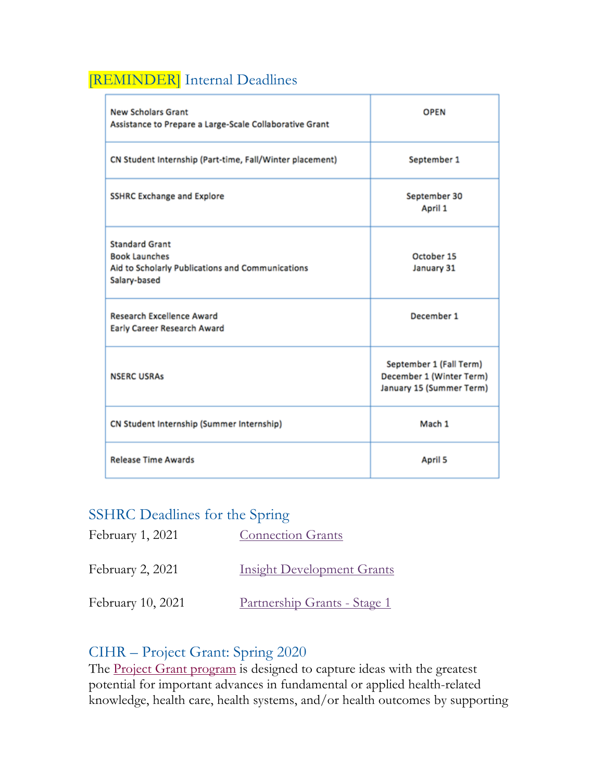# [REMINDER] Internal Deadlines

| <b>New Scholars Grant</b><br>Assistance to Prepare a Large-Scale Collaborative Grant                              | <b>OPEN</b>                                                                     |
|-------------------------------------------------------------------------------------------------------------------|---------------------------------------------------------------------------------|
| CN Student Internship (Part-time, Fall/Winter placement)                                                          | September 1                                                                     |
| <b>SSHRC Exchange and Explore</b>                                                                                 | September 30<br>April 1                                                         |
| <b>Standard Grant</b><br><b>Book Launches</b><br>Aid to Scholarly Publications and Communications<br>Salary-based | October 15<br>January 31                                                        |
| <b>Research Excellence Award</b><br>Early Career Research Award                                                   | December 1                                                                      |
| <b>NSERC USRAs</b>                                                                                                | September 1 (Fall Term)<br>December 1 (Winter Term)<br>January 15 (Summer Term) |
| CN Student Internship (Summer Internship)                                                                         | Mach 1                                                                          |
| <b>Release Time Awards</b>                                                                                        | April 5                                                                         |

#### SSHRC Deadlines for the Spring

| February 1, 2021  | <b>Connection Grants</b>            |
|-------------------|-------------------------------------|
| February 2, 2021  | <b>Insight Development Grants</b>   |
| February 10, 2021 | <u>Partnership Grants - Stage 1</u> |

#### CIHR – Project Grant: Spring 2020

The Project Grant program is designed to capture ideas with the greatest potential for important advances in fundamental or applied health-related knowledge, health care, health systems, and/or health outcomes by supporting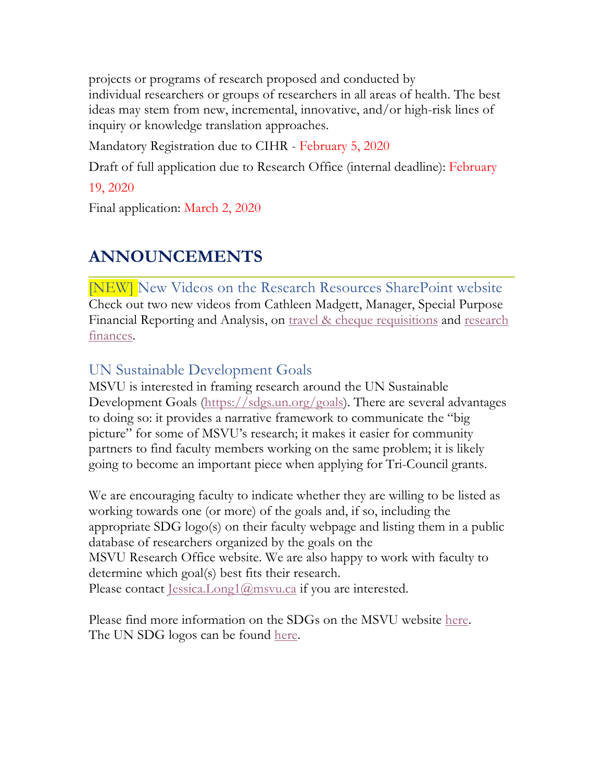projects or programs of research proposed and conducted by individual researchers or groups of researchers in all areas of health. The best ideas may stem from new, incremental, innovative, and/or high-risk lines of inquiry or knowledge translation approaches.

Mandatory Registration due to CIHR - February 5, 2020

Draft of full application due to Research Office (internal deadline): February

19, 2020

Final application: March 2, 2020

# **ANNOUNCEMENTS**

[NEW] New Videos on the Research Resources SharePoint website Check out two new videos from Cathleen Madgett, Manager, Special Purpose Financial Reporting and Analysis, on travel & cheque requisitions and research finances.

## UN Sustainable Development Goals

MSVU is interested in framing research around the UN Sustainable Development Goals (https://sdgs.un.org/goals). There are several advantages to doing so: it provides a narrative framework to communicate the "big picture" for some of MSVU's research; it makes it easier for community partners to find faculty members working on the same problem; it is likely going to become an important piece when applying for Tri-Council grants.

We are encouraging faculty to indicate whether they are willing to be listed as working towards one (or more) of the goals and, if so, including the appropriate SDG logo(s) on their faculty webpage and listing them in a public database of researchers organized by the goals on the MSVU Research Office website. We are also happy to work with faculty to determine which goal(s) best fits their research. Please contact Jessica.Long1@msvu.ca if you are interested.

Please find more information on the SDGs on the MSVU website here. The UN SDG logos can be found here.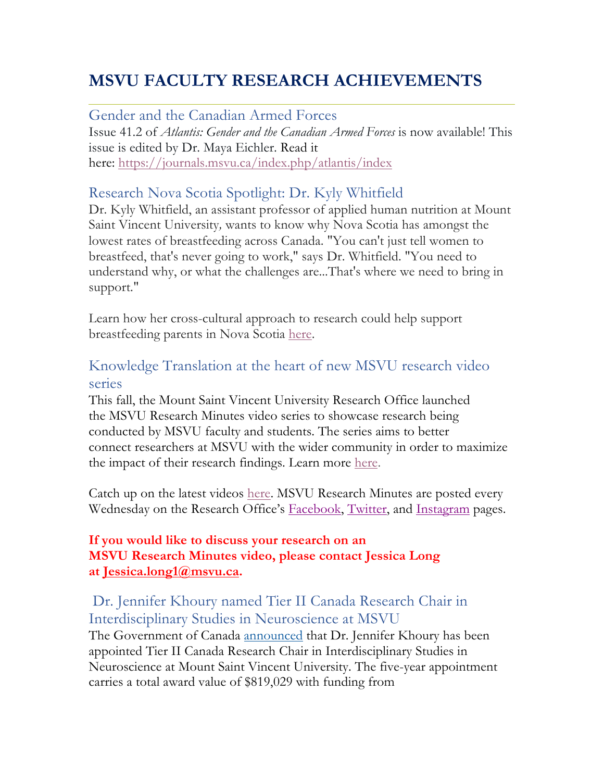# **MSVU FACULTY RESEARCH ACHIEVEMENTS**

Gender and the Canadian Armed Forces Issue 41.2 of *Atlantis: Gender and the Canadian Armed Forces* is now available! This issue is edited by Dr. Maya Eichler. Read it here: https://journals.msvu.ca/index.php/atlantis/index

### Research Nova Scotia Spotlight: Dr. Kyly Whitfield

Dr. Kyly Whitfield, an assistant professor of applied human nutrition at Mount Saint Vincent University*,* wants to know why Nova Scotia has amongst the lowest rates of breastfeeding across Canada. "You can't just tell women to breastfeed, that's never going to work," says Dr. Whitfield. "You need to understand why, or what the challenges are...That's where we need to bring in support."

Learn how her cross-cultural approach to research could help support breastfeeding parents in Nova Scotia here.

## Knowledge Translation at the heart of new MSVU research video series

This fall, the Mount Saint Vincent University Research Office launched the MSVU Research Minutes video series to showcase research being conducted by MSVU faculty and students. The series aims to better connect researchers at MSVU with the wider community in order to maximize the impact of their research findings. Learn more here.

Catch up on the latest videos here. MSVU Research Minutes are posted every Wednesday on the Research Office's Facebook, Twitter, and Instagram pages.

#### **If you would like to discuss your research on an MSVU Research Minutes video, please contact Jessica Long at Jessica.long1@msvu.ca.**

#### Dr. Jennifer Khoury named Tier II Canada Research Chair in Interdisciplinary Studies in Neuroscience at MSVU The Government of Canada announced that Dr. Jennifer Khoury has been appointed Tier II Canada Research Chair in Interdisciplinary Studies in Neuroscience at Mount Saint Vincent University. The five-year appointment carries a total award value of \$819,029 with funding from